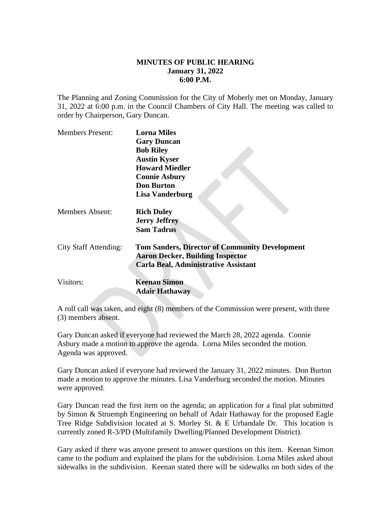## **MINUTES OF PUBLIC HEARING January 31, 2022 6:00 P.M.**

The Planning and Zoning Commission for the City of Moberly met on Monday, January 31, 2022 at 6:00 p.m. in the Council Chambers of City Hall. The meeting was called to order by Chairperson, Gary Duncan.

| <b>Members Present:</b>      | <b>Lorna Miles</b>                                    |
|------------------------------|-------------------------------------------------------|
|                              | <b>Gary Duncan</b>                                    |
|                              | <b>Bob Riley</b>                                      |
|                              | <b>Austin Kyser</b>                                   |
|                              | <b>Howard Miedler</b>                                 |
|                              | <b>Connie Asbury</b>                                  |
|                              | <b>Don Burton</b>                                     |
|                              | <b>Lisa Vanderburg</b>                                |
| <b>Members Absent:</b>       | <b>Rich Duley</b>                                     |
|                              | <b>Jerry Jeffrey</b>                                  |
|                              | <b>Sam Tadrus</b>                                     |
| <b>City Staff Attending:</b> | <b>Tom Sanders, Director of Community Development</b> |
|                              | <b>Aaron Decker, Building Inspector</b>               |
|                              | <b>Carla Beal, Administrative Assistant</b>           |
| Visitors:                    | <b>Keenan Simon</b>                                   |
|                              | <b>Adair Hathaway</b>                                 |
|                              |                                                       |

A roll call was taken, and eight (8) members of the Commission were present, with three (3) members absent.

Gary Duncan asked if everyone had reviewed the March 28, 2022 agenda. Connie Asbury made a motion to approve the agenda. Lorna Miles seconded the motion. Agenda was approved.

Gary Duncan asked if everyone had reviewed the January 31, 2022 minutes. Don Burton made a motion to approve the minutes. Lisa Vanderburg seconded the motion. Minutes were approved.

Gary Duncan read the first item on the agenda; an application for a final plat submitted by Simon & Struemph Engineering on behalf of Adair Hathaway for the proposed Eagle Tree Ridge Subdivision located at S. Morley St. & E Urbandale Dr. This location is currently zoned R-3/PD (Multifamily Dwelling/Planned Development District).

Gary asked if there was anyone present to answer questions on this item. Keenan Simon came to the podium and explained the plans for the subdivision. Lorna Miles asked about sidewalks in the subdivision. Keenan stated there will be sidewalks on both sides of the